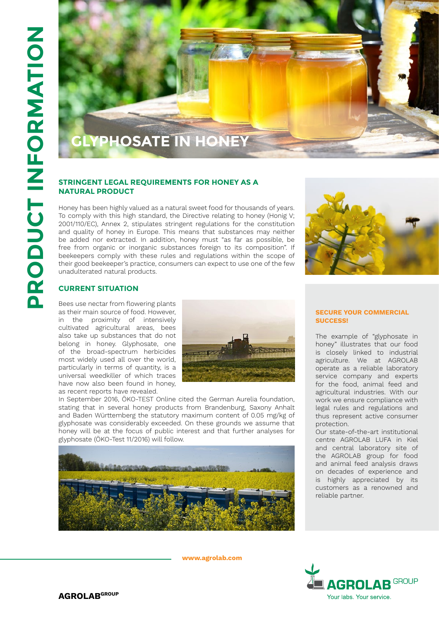

# **STRINGENT LEGAL REQUIREMENTS FOR HONEY AS A NATURAL PRODUCT**

Honey has been highly valued as a natural sweet food for thousands of years. To comply with this high standard, the Directive relating to honey (Honig V; 2001/110/EC), Annex 2, stipulates stringent regulations for the constitution and quality of honey in Europe. This means that substances may neither be added nor extracted. In addition, honey must "as far as possible, be free from organic or inorganic substances foreign to its composition". If beekeepers comply with these rules and regulations within the scope of their good beekeeper's practice, consumers can expect to use one of the few unadulterated natural products.



## **Current Situation**

Bees use nectar from flowering plants as their main source of food. However, in the proximity of intensively cultivated agricultural areas, bees also take up substances that do not belong in honey. Glyphosate, one of the broad-spectrum herbicides most widely used all over the world, particularly in terms of quantity, is a universal weedkiller of which traces have now also been found in honey, as recent reports have revealed.



In September 2016, ÖKO-TEST Online cited the German Aurelia foundation, stating that in several honey products from Brandenburg, Saxony Anhalt and Baden Württemberg the statutory maximum content of 0.05 mg/kg of glyphosate was considerably exceeded. On these grounds we assume that honey will be at the focus of public interest and that further analyses for glyphosate (ÖKO-Test 11/2016) will follow.



**www.agrolab.com**

### **SECURE YOUR COMMERCIAL SUCCESS!**

The example of "glyphosate in honey" illustrates that our food is closely linked to industrial agriculture. We at AGROLAB operate as a reliable laboratory service company and experts for the food, animal feed and agricultural industries. With our work we ensure compliance with legal rules and regulations and thus represent active consumer protection.

Our state-of-the-art institutional centre AGROLAB LUFA in Kiel and central laboratory site of the AGROLAB group for food and animal feed analysis draws on decades of experience and is highly appreciated by its customers as a renowned and reliable partner.